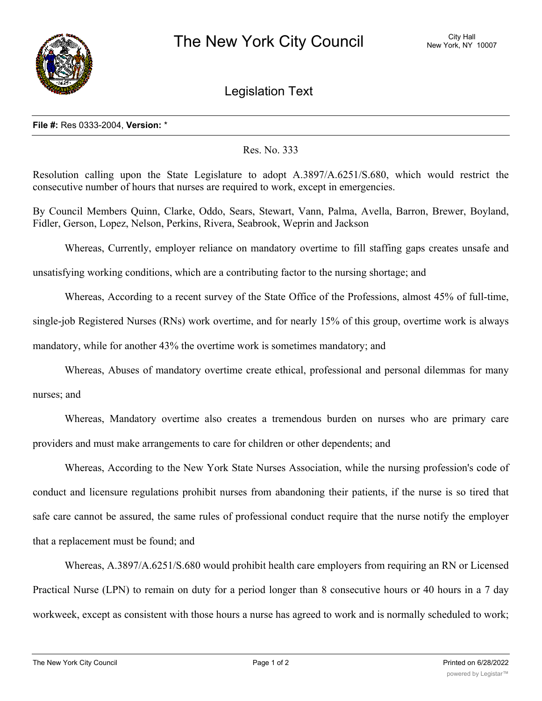

## Legislation Text

## **File #:** Res 0333-2004, **Version:** \*

## Res. No. 333

Resolution calling upon the State Legislature to adopt A.3897/A.6251/S.680, which would restrict the consecutive number of hours that nurses are required to work, except in emergencies.

By Council Members Quinn, Clarke, Oddo, Sears, Stewart, Vann, Palma, Avella, Barron, Brewer, Boyland, Fidler, Gerson, Lopez, Nelson, Perkins, Rivera, Seabrook, Weprin and Jackson

Whereas, Currently, employer reliance on mandatory overtime to fill staffing gaps creates unsafe and

unsatisfying working conditions, which are a contributing factor to the nursing shortage; and

Whereas, According to a recent survey of the State Office of the Professions, almost 45% of full-time, single-job Registered Nurses (RNs) work overtime, and for nearly 15% of this group, overtime work is always mandatory, while for another 43% the overtime work is sometimes mandatory; and

Whereas, Abuses of mandatory overtime create ethical, professional and personal dilemmas for many nurses; and

Whereas, Mandatory overtime also creates a tremendous burden on nurses who are primary care providers and must make arrangements to care for children or other dependents; and

Whereas, According to the New York State Nurses Association, while the nursing profession's code of conduct and licensure regulations prohibit nurses from abandoning their patients, if the nurse is so tired that safe care cannot be assured, the same rules of professional conduct require that the nurse notify the employer that a replacement must be found; and

Whereas, A.3897/A.6251/S.680 would prohibit health care employers from requiring an RN or Licensed Practical Nurse (LPN) to remain on duty for a period longer than 8 consecutive hours or 40 hours in a 7 day workweek, except as consistent with those hours a nurse has agreed to work and is normally scheduled to work;